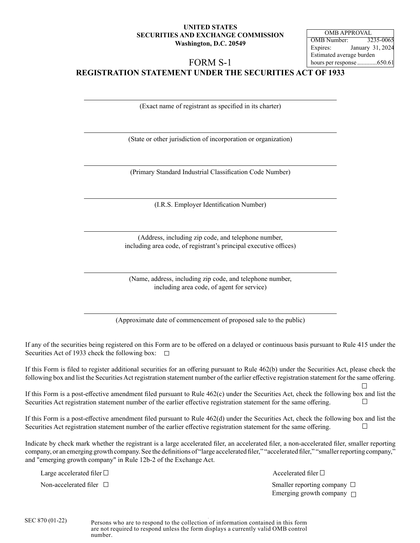# **UNITED STATES SECURITIES AND EXCHANGE COMMISSION Washington, D.C. 20549**

OMB Number: 3235-006 Expires: January 31, 2024 Estimated average burden hours per response .............650.61 OMB APPROVAL

# FORM S-1

**REGISTRATION STATEMENT UNDER THE SECURITIES ACT OF 1933**

(Exact name of registrant as specified in its charter)

(State or other jurisdiction of incorporation or organization)

(Primary Standard Industrial Classification Code Number)

(I.R.S. Employer Identification Number)

(Address, including zip code, and telephone number, including area code, of registrant's principal executive offices)

(Name, address, including zip code, and telephone number, including area code, of agent for service)

(Approximate date of commencement of proposed sale to the public)

If any of the securities being registered on this Form are to be offered on a delayed or continuous basis pursuant to Rule 415 under the Securities Act of 1933 check the following box:  $\Box$ 

If this Form is filed to register additional securities for an offering pursuant to Rule 462(b) under the Securities Act, please check the following box and list the Securities Act registration statement number of the earlier effective registration statement for the same offering.

If this Form is a post-effective amendment filed pursuant to Rule 462(c) under the Securities Act, check the following box and list the Securities Act registration statement number of the earlier effective registration statement for the same offering.

If this Form is a post-effective amendment filed pursuant to Rule 462(d) under the Securities Act, check the following box and list the Securities Act registration statement number of the earlier effective registration statement for the same offering.

Indicate by check mark whether the registrant is a large accelerated filer, an accelerated filer, a non-accelerated filer, smaller reporting company, or an emerging growth company. See the definitions of "large accelerated filer," "accelerated filer," "smaller reporting company," and "emerging growth company" in Rule 12b-2 of the Exchange Act.

Large accelerated filer  $\Box$ 

Non-accelerated filer  $\Box$ Emerging growth company  $\Box$ 

Persons who are to respond to the collection of information contained in this form are not required to respond unless the form displays a currently valid OMB control number.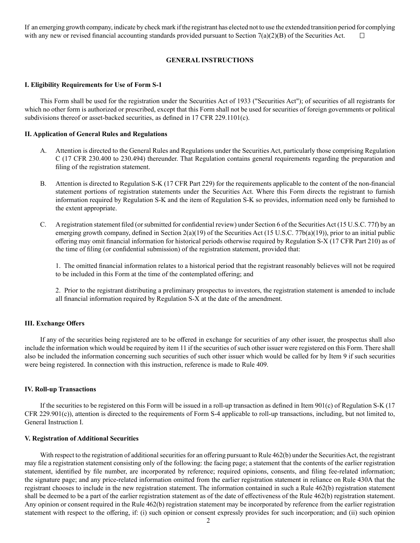If an emerging growth company, indicate by check mark if the registrant has elected not to use the extended transition period for complying with any new or revised financial accounting standards provided pursuant to Section  $7(a)(2)(B)$  of the Securities Act.  $\Box$ 

### **GENERAL INSTRUCTIONS**

#### **I. Eligibility Requirements for Use of Form S-1**

This Form shall be used for the registration under the Securities Act of 1933 ("Securities Act"); of securities of all registrants for which no other form is authorized or prescribed, except that this Form shall not be used for securities of foreign governments or political subdivisions thereof or asset-backed securities, as defined in 17 CFR 229.1101(c).

#### **II. Application of General Rules and Regulations**

- A. Attention is directed to the General Rules and Regulations under the Securities Act, particularly those comprising Regulation C (17 CFR 230.400 to 230.494) thereunder. That Regulation contains general requirements regarding the preparation and filing of the registration statement.
- B. Attention is directed to Regulation S-K (17 CFR Part 229) for the requirements applicable to the content of the non-financial statement portions of registration statements under the Securities Act. Where this Form directs the registrant to furnish information required by Regulation S-K and the item of Regulation S-K so provides, information need only be furnished to the extent appropriate.
- C. A registration statement filed (or submitted for confidential review) under Section 6 of the Securities Act (15 U.S.C. 77f) by an emerging growth company, defined in Section  $2(a)(19)$  of the Securities Act (15 U.S.C. 77b(a)(19)), prior to an initial public offering may omit financial information for historical periods otherwise required by Regulation S-X (17 CFR Part 210) as of the time of filing (or confidential submission) of the registration statement, provided that:

1. The omitted financial information relates to a historical period that the registrant reasonably believes will not be required to be included in this Form at the time of the contemplated offering; and

2. Prior to the registrant distributing a preliminary prospectus to investors, the registration statement is amended to include all financial information required by Regulation S-X at the date of the amendment.

#### **III. Exchange Offers**

If any of the securities being registered are to be offered in exchange for securities of any other issuer, the prospectus shall also include the information which would be required by item 11 if the securities of such other issuer were registered on this Form. There shall also be included the information concerning such securities of such other issuer which would be called for by Item 9 if such securities were being registered. In connection with this instruction, reference is made to Rule 409.

#### **IV. Roll-up Transactions**

If the securities to be registered on this Form will be issued in a roll-up transaction as defined in Item 901(c) of Regulation S-K (17 CFR 229.901(c)), attention is directed to the requirements of Form S-4 applicable to roll-up transactions, including, but not limited to, General Instruction I.

#### **V. Registration of Additional Securities**

With respect to the registration of additional securities for an offering pursuant to Rule 462(b) under the Securities Act, the registrant may file a registration statement consisting only of the following: the facing page; a statement that the contents of the earlier registration statement, identified by file number, are incorporated by reference; required opinions, consents, and filing fee-related information; the signature page; and any price-related information omitted from the earlier registration statement in reliance on Rule 430A that the registrant chooses to include in the new registration statement. The information contained in such a Rule 462(b) registration statement shall be deemed to be a part of the earlier registration statement as of the date of effectiveness of the Rule 462(b) registration statement. Any opinion or consent required in the Rule 462(b) registration statement may be incorporated by reference from the earlier registration statement with respect to the offering, if: (i) such opinion or consent expressly provides for such incorporation; and (ii) such opinion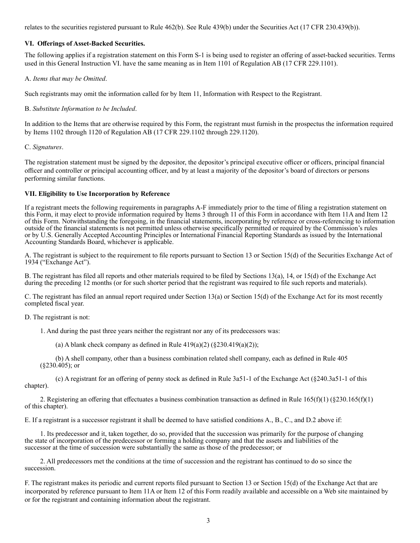relates to the securities registered pursuant to Rule 462(b). See Rule 439(b) under the Securities Act (17 CFR 230.439(b)).

### **VI. Offerings of Asset-Backed Securities.**

The following applies if a registration statement on this Form S-1 is being used to register an offering of asset-backed securities. Terms used in this General Instruction VI. have the same meaning as in Item 1101 of Regulation AB (17 CFR 229.1101).

### A. *Items that may be Omitted*.

Such registrants may omit the information called for by Item 11, Information with Respect to the Registrant.

## B. *Substitute Information to be Included*.

In addition to the Items that are otherwise required by this Form, the registrant must furnish in the prospectus the information required by Items 1102 through 1120 of Regulation AB (17 CFR 229.1102 through 229.1120).

### C. *Signatures*.

The registration statement must be signed by the depositor, the depositor's principal executive officer or officers, principal financial officer and controller or principal accounting officer, and by at least a majority of the depositor's board of directors or persons performing similar functions.

### **VII. Eligibility to Use Incorporation by Reference**

If a registrant meets the following requirements in paragraphs A-F immediately prior to the time of filing a registration statement on this Form, it may elect to provide information required by Items 3 through 11 of this Form in accordance with Item 11A and Item 12 of this Form. Notwithstanding the foregoing, in the financial statements, incorporating by reference or cross-referencing to information outside of the financial statements is not permitted unless otherwise specifically permitted or required by the Commission's rules or by U.S. Generally Accepted Accounting Principles or International Financial Reporting Standards as issued by the International Accounting Standards Board, whichever is applicable.

A. The registrant is subject to the requirement to file reports pursuant to Section 13 or Section 15(d) of the Securities Exchange Act of 1934 ("Exchange Act").

B. The registrant has filed all reports and other materials required to be filed by Sections 13(a), 14, or 15(d) of the Exchange Act during the preceding 12 months (or for such shorter period that the registrant was required to file such reports and materials).

C. The registrant has filed an annual report required under Section 13(a) or Section 15(d) of the Exchange Act for its most recently completed fiscal year.

D. The registrant is not:

1. And during the past three years neither the registrant nor any of its predecessors was:

(a) A blank check company as defined in Rule  $419(a)(2)$  ( $\S 230.419(a)(2)$ );

(b) A shell company, other than a business combination related shell company, each as defined in Rule 405 (§230.405); or

(c) A registrant for an offering of penny stock as defined in Rule 3a51-1 of the Exchange Act (§240.3a51-1 of this chapter).

2. Registering an offering that effectuates a business combination transaction as defined in Rule  $165(f)(1)$  (§230.165(f)(1) of this chapter).

E. If a registrant is a successor registrant it shall be deemed to have satisfied conditions A., B., C., and D.2 above if:

1. Its predecessor and it, taken together, do so, provided that the succession was primarily for the purpose of changing the state of incorporation of the predecessor or forming a holding company and that the assets and liabilities of the successor at the time of succession were substantially the same as those of the predecessor; or

2. All predecessors met the conditions at the time of succession and the registrant has continued to do so since the succession.

F. The registrant makes its periodic and current reports filed pursuant to Section 13 or Section 15(d) of the Exchange Act that are incorporated by reference pursuant to Item 11A or Item 12 of this Form readily available and accessible on a Web site maintained by or for the registrant and containing information about the registrant.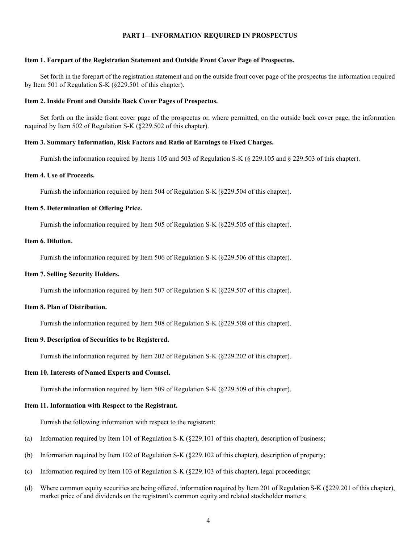### **PART I—INFORMATION REQUIRED IN PROSPECTUS**

#### **Item 1. Forepart of the Registration Statement and Outside Front Cover Page of Prospectus.**

Set forth in the forepart of the registration statement and on the outside front cover page of the prospectus the information required by Item 501 of Regulation S-K (§229.501 of this chapter).

#### **Item 2. Inside Front and Outside Back Cover Pages of Prospectus.**

Set forth on the inside front cover page of the prospectus or, where permitted, on the outside back cover page, the information required by Item 502 of Regulation S-K (§229.502 of this chapter).

#### **Item 3. Summary Information, Risk Factors and Ratio of Earnings to Fixed Charges.**

Furnish the information required by Items 105 and 503 of Regulation S-K (§ 229.105 and § 229.503 of this chapter).

### **Item 4. Use of Proceeds.**

Furnish the information required by Item 504 of Regulation S-K (§229.504 of this chapter).

#### **Item 5. Determination of Offering Price.**

Furnish the information required by Item 505 of Regulation S-K (§229.505 of this chapter).

## **Item 6. Dilution.**

Furnish the information required by Item 506 of Regulation S-K (§229.506 of this chapter).

#### **Item 7. Selling Security Holders.**

Furnish the information required by Item 507 of Regulation S-K (§229.507 of this chapter).

## **Item 8. Plan of Distribution.**

Furnish the information required by Item 508 of Regulation S-K (§229.508 of this chapter).

### **Item 9. Description of Securities to be Registered.**

Furnish the information required by Item 202 of Regulation S-K (§229.202 of this chapter).

### **Item 10. Interests of Named Experts and Counsel.**

Furnish the information required by Item 509 of Regulation S-K (§229.509 of this chapter).

### **Item 11. Information with Respect to the Registrant.**

Furnish the following information with respect to the registrant:

- (a) Information required by Item 101 of Regulation S-K (§229.101 of this chapter), description of business;
- (b) Information required by Item 102 of Regulation S-K (§229.102 of this chapter), description of property;
- (c) Information required by Item 103 of Regulation S-K (§229.103 of this chapter), legal proceedings;
- (d) Where common equity securities are being offered, information required by Item 201 of Regulation S-K (§229.201 of this chapter), market price of and dividends on the registrant's common equity and related stockholder matters;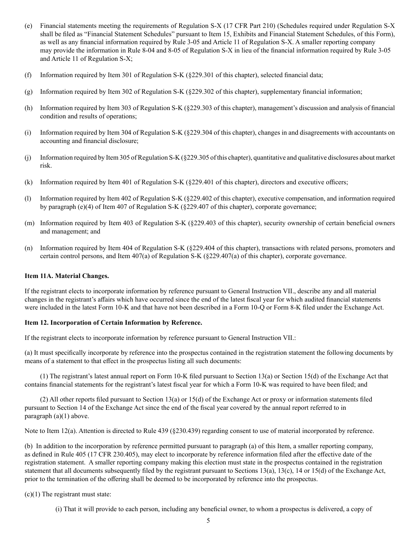- (e) Financial statements meeting the requirements of Regulation S-X (17 CFR Part 210) (Schedules required under Regulation S-X shall be filed as "Financial Statement Schedules" pursuant to Item 15, Exhibits and Financial Statement Schedules, of this Form), as well as any financial information required by Rule 3-05 and Article 11 of Regulation S-X. A smaller reporting company may provide the information in Rule 8-04 and 8-05 of Regulation S-X in lieu of the financial information required by Rule 3-05 and Article 11 of Regulation S-X;
- (f) Information required by Item 301 of Regulation S-K (§229.301 of this chapter), selected financial data;
- (g) Information required by Item 302 of Regulation S-K (§229.302 of this chapter), supplementary financial information;
- (h) Information required by Item 303 of Regulation S-K (§229.303 of this chapter), management's discussion and analysis of financial condition and results of operations;
- (i) Information required by Item 304 of Regulation S-K (§229.304 of this chapter), changes in and disagreements with accountants on accounting and financial disclosure;
- (j) Information required by Item 305 of Regulation S-K (§229.305 of this chapter), quantitative and qualitative disclosures about market risk.
- (k) Information required by Item 401 of Regulation S-K (§229.401 of this chapter), directors and executive officers;
- (l) Information required by Item 402 of Regulation S-K (§229.402 of this chapter), executive compensation, and information required by paragraph (e)(4) of Item 407 of Regulation S-K (§229.407 of this chapter), corporate governance;
- (m) Information required by Item 403 of Regulation S-K (§229.403 of this chapter), security ownership of certain beneficial owners and management; and
- (n) Information required by Item 404 of Regulation S-K (§229.404 of this chapter), transactions with related persons, promoters and certain control persons, and Item 407(a) of Regulation S-K (§229.407(a) of this chapter), corporate governance.

### **Item 11A. Material Changes.**

If the registrant elects to incorporate information by reference pursuant to General Instruction VII., describe any and all material changes in the registrant's affairs which have occurred since the end of the latest fiscal year for which audited financial statements were included in the latest Form 10-K and that have not been described in a Form 10-Q or Form 8-K filed under the Exchange Act.

### **Item 12. Incorporation of Certain Information by Reference.**

If the registrant elects to incorporate information by reference pursuant to General Instruction VII.:

(a) It must specifically incorporate by reference into the prospectus contained in the registration statement the following documents by means of a statement to that effect in the prospectus listing all such documents:

(1) The registrant's latest annual report on Form 10-K filed pursuant to Section 13(a) or Section 15(d) of the Exchange Act that contains financial statements for the registrant's latest fiscal year for which a Form 10-K was required to have been filed; and

(2) All other reports filed pursuant to Section 13(a) or 15(d) of the Exchange Act or proxy or information statements filed pursuant to Section 14 of the Exchange Act since the end of the fiscal year covered by the annual report referred to in paragraph (a)(1) above.

Note to Item 12(a). Attention is directed to Rule 439 (§230.439) regarding consent to use of material incorporated by reference.

(b) In addition to the incorporation by reference permitted pursuant to paragraph (a) of this Item, a smaller reporting company, as defined in Rule 405 (17 CFR 230.405), may elect to incorporate by reference information filed after the effective date of the registration statement. A smaller reporting company making this election must state in the prospectus contained in the registration statement that all documents subsequently filed by the registrant pursuant to Sections 13(a), 13(c), 14 or 15(d) of the Exchange Act, prior to the termination of the offering shall be deemed to be incorporated by reference into the prospectus.

 $(c)(1)$  The registrant must state:

(i) That it will provide to each person, including any beneficial owner, to whom a prospectus is delivered, a copy of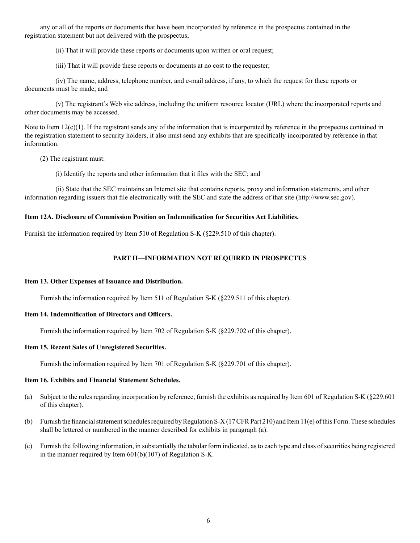any or all of the reports or documents that have been incorporated by reference in the prospectus contained in the registration statement but not delivered with the prospectus;

(ii) That it will provide these reports or documents upon written or oral request;

(iii) That it will provide these reports or documents at no cost to the requester;

 (iv) The name, address, telephone number, and e-mail address, if any, to which the request for these reports or documents must be made; and

(v) The registrant's Web site address, including the uniform resource locator (URL) where the incorporated reports and other documents may be accessed.

Note to Item  $12(c)(1)$ . If the registrant sends any of the information that is incorporated by reference in the prospectus contained in the registration statement to security holders, it also must send any exhibits that are specifically incorporated by reference in that information.

- (2) The registrant must:
	- (i) Identify the reports and other information that it files with the SEC; and

 (ii) State that the SEC maintains an Internet site that contains reports, proxy and information statements, and other information regarding issuers that file electronically with the SEC and state the address of that site (http://www.sec.gov).

### **Item 12A. Disclosure of Commission Position on Indemnification for Securities Act Liabilities.**

Furnish the information required by Item 510 of Regulation S-K (§229.510 of this chapter).

# **PART II—INFORMATION NOT REQUIRED IN PROSPECTUS**

### **Item 13. Other Expenses of Issuance and Distribution.**

Furnish the information required by Item 511 of Regulation S-K (§229.511 of this chapter).

# **Item 14. Indemnification of Directors and Officers.**

Furnish the information required by Item 702 of Regulation S-K (§229.702 of this chapter).

# **Item 15. Recent Sales of Unregistered Securities.**

Furnish the information required by Item 701 of Regulation S-K (§229.701 of this chapter).

### **Item 16. Exhibits and Financial Statement Schedules.**

- (a) Subject to the rules regarding incorporation by reference, furnish the exhibits as required by Item 601 of Regulation S-K (§229.601 of this chapter).
- (b) Furnish the financial statement schedules required by Regulation S-X (17 CFR Part 210) and Item 11(e) of this Form. These schedules shall be lettered or numbered in the manner described for exhibits in paragraph (a).
- (c) Furnish the following information, in substantially the tabular form indicated, as to each type and class of securities being registered in the manner required by Item 601(b)(107) of Regulation S-K.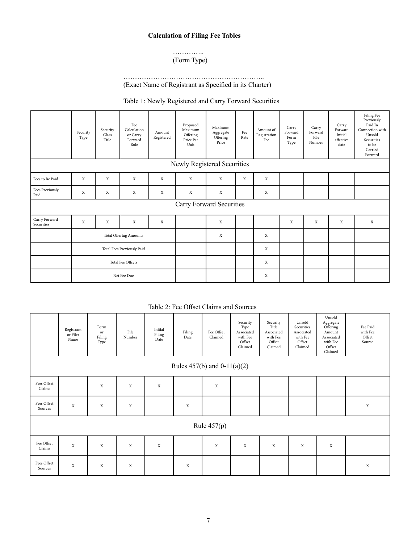# **Calculation of Filing Fee Tables**

### ………….. (Form Type)

# …………………………………………………….. (Exact Name of Registrant as Specified in its Charter)

# Table 1: Newly Registered and Carry Forward Securities

|                             | Security<br>Type              | Security<br>Class<br>Title | Fee<br>Calculation<br>or Carry<br>Forward<br>Rule | Amount<br>Registered | Proposed<br>Maximum<br>Offering<br>Price Per<br>Unit | Maximum<br>Aggregate<br>Offering<br>Price | Fee<br>Rate | Amount of<br>Registration<br>Fee | Carry<br>Forward<br>Form<br>Type | Carry<br>Forward<br>File<br>Number | Carry<br>Forward<br>Initial<br>effective<br>date | Filing Fee<br>Previously<br>Paid In<br>Connection with<br>Unsold<br>Securities<br>to be<br>Carried<br>Forward |
|-----------------------------|-------------------------------|----------------------------|---------------------------------------------------|----------------------|------------------------------------------------------|-------------------------------------------|-------------|----------------------------------|----------------------------------|------------------------------------|--------------------------------------------------|---------------------------------------------------------------------------------------------------------------|
| Newly Registered Securities |                               |                            |                                                   |                      |                                                      |                                           |             |                                  |                                  |                                    |                                                  |                                                                                                               |
| Fees to Be Paid             | X                             | $\mathbf X$                | $\mathbf X$                                       | X                    | $\mathbf X$                                          | X                                         | $\mathbf X$ | $\mathbf X$                      |                                  |                                    |                                                  |                                                                                                               |
| Fees Previously<br>Paid     | X                             | X                          | $\mathbf X$                                       | $\mathbf X$          | $\mathbf X$                                          | $\mathbf X$                               |             | X                                |                                  |                                    |                                                  |                                                                                                               |
| Carry Forward Securities    |                               |                            |                                                   |                      |                                                      |                                           |             |                                  |                                  |                                    |                                                  |                                                                                                               |
| Carry Forward<br>Securities | $\mathbf X$                   | $\mathbf X$                | $\mathbf X$                                       | X                    |                                                      | $\mathbf{x}$                              |             |                                  | X                                | $\mathbf X$                        | X                                                | X                                                                                                             |
|                             | <b>Total Offering Amounts</b> |                            |                                                   |                      |                                                      | X                                         |             | X                                |                                  |                                    |                                                  |                                                                                                               |
|                             | Total Fees Previously Paid    |                            |                                                   |                      |                                                      |                                           |             | X                                |                                  |                                    |                                                  |                                                                                                               |
|                             | Total Fee Offsets             |                            |                                                   |                      |                                                      |                                           |             | $\mathbf X$                      |                                  |                                    |                                                  |                                                                                                               |
|                             | Net Fee Due                   |                            |                                                   |                      |                                                      |                                           |             | X                                |                                  |                                    |                                                  |                                                                                                               |

# Table 2: Fee Offset Claims and Sources

|                                 | Registrant<br>or Filer<br>Name | Form<br>or<br>Filing<br>Type | File<br>Number | Initial<br>Filing<br>Date | Filing<br>Date | Fee Offset<br>Claimed | Security<br>Type<br>Associated<br>with Fee<br>Offset<br>Claimed | Security<br>Title<br>Associated<br>with Fee<br>Offset<br>Claimed | Unsold<br>Securities<br>Associated<br>with Fee<br>Offset<br>Claimed | Unsold<br>Aggregate<br>Offering<br>Amount<br>Associated<br>with Fee<br>Offset<br>Claimed | Fee Paid<br>with Fee<br>Offset<br>Source |
|---------------------------------|--------------------------------|------------------------------|----------------|---------------------------|----------------|-----------------------|-----------------------------------------------------------------|------------------------------------------------------------------|---------------------------------------------------------------------|------------------------------------------------------------------------------------------|------------------------------------------|
| Rules $457(b)$ and $0-11(a)(2)$ |                                |                              |                |                           |                |                       |                                                                 |                                                                  |                                                                     |                                                                                          |                                          |
| Fees Offset<br>Claims           |                                | $\mathbf X$                  | $\mathbf X$    | $\mathbf X$               |                | $\mathbf X$           |                                                                 |                                                                  |                                                                     |                                                                                          |                                          |
| Fees Offset<br>Sources          | $\mathbf X$                    | $\mathbf X$                  | $\mathbf X$    |                           | $\mathbf X$    |                       |                                                                 |                                                                  |                                                                     |                                                                                          | $\mathbf X$                              |
| Rule $457(p)$                   |                                |                              |                |                           |                |                       |                                                                 |                                                                  |                                                                     |                                                                                          |                                          |
| Fee Offset<br>Claims            | $\mathbf X$                    | $\mathbf X$                  | $\mathbf X$    | $\mathbf X$               |                | $\mathbf X$           | $\mathbf X$                                                     | $\mathbf X$                                                      | $\mathbf X$                                                         | $\mathbf X$                                                                              |                                          |
| Fees Offset<br>Sources          | $\mathbf X$                    | X                            | X              |                           | X              |                       |                                                                 |                                                                  |                                                                     |                                                                                          | $\mathbf X$                              |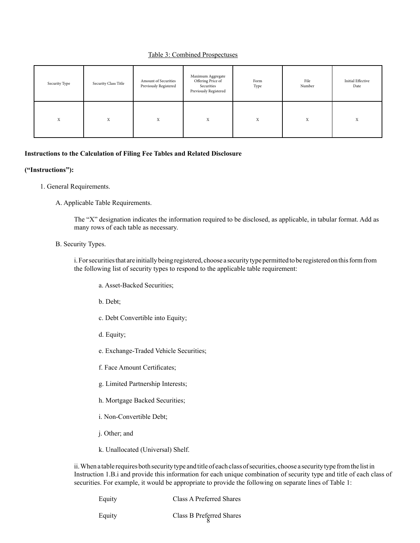# Table 3: Combined Prospectuses

| Security Type | Security Class Title | Amount of Securities<br>Previously Registered | Maximum Aggregate<br>Offering Price of<br>Securities<br>Previously Registered | Form<br>Type | File<br>Number | <b>Initial Effective</b><br>Date |
|---------------|----------------------|-----------------------------------------------|-------------------------------------------------------------------------------|--------------|----------------|----------------------------------|
| X             | X                    | X                                             | X                                                                             | X            | X              | X                                |

### **Instructions to the Calculation of Filing Fee Tables and Related Disclosure**

### **("Instructions"):**

- 1. General Requirements.
	- A. Applicable Table Requirements.

The "X" designation indicates the information required to be disclosed, as applicable, in tabular format. Add as many rows of each table as necessary.

### B. Security Types.

 i. For securities that are initially being registered, choose a security type permitted to be registered on this form from the following list of security types to respond to the applicable table requirement:

- a. Asset-Backed Securities;
- b. Debt;
- c. Debt Convertible into Equity;
- d. Equity;
- e. Exchange-Traded Vehicle Securities;
- f. Face Amount Certificates;
- g. Limited Partnership Interests;
- h. Mortgage Backed Securities;
- i. Non-Convertible Debt;
- j. Other; and
- k. Unallocated (Universal) Shelf.

 ii. When a table requires both security type and title of each class of securities, choose a security type from the list in Instruction 1.B.i and provide this information for each unique combination of security type and title of each class of securities. For example, it would be appropriate to provide the following on separate lines of Table 1:

| Equity | Class A Preferred Shares |
|--------|--------------------------|
| Equity | Class B Preferred Shares |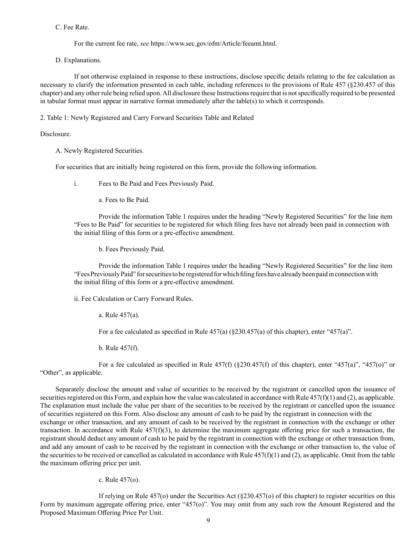C. Fee Rate.

For the current fee rate, *see* https://www.sec.gov/ofm/Article/feeamt.html.

D. Explanations.

If not otherwise explained in response to these instructions, disclose specific details relating to the fee calculation as necessary to clarify the information presented in each table, including references to the provisions of Rule 457 (§230.457 of this chapter) and any other rule being relied upon. All disclosure these Instructions require that is not specifically required to be presented in tabular format must appear in narrative format immediately after the table(s) to which it corresponds.

2. Table 1: Newly Registered and Carry Forward Securities Table and Related

Disclosure.

A. Newly Registered Securities.

For securities that are initially being registered on this form, provide the following information.

i. Fees to Be Paid and Fees Previously Paid.

a. Fees to Be Paid.

Provide the information Table 1 requires under the heading "Newly Registered Securities" for the line item "Fees to Be Paid" for securities to be registered for which filing fees have not already been paid in connection with the initial filing of this form or a pre-effective amendment.

b. Fees Previously Paid.

Provide the information Table 1 requires under the heading "Newly Registered Securities" for the line item "Fees Previously Paid" for securities to be registered for which filing fees have already been paid in connection with the initial filing of this form or a pre-effective amendment.

ii. Fee Calculation or Carry Forward Rules.

a. Rule 457(a).

For a fee calculated as specified in Rule  $457(a)$  ( $\S 230.457(a)$  of this chapter), enter " $457(a)$ ".

b. Rule 457(f).

For a fee calculated as specified in Rule  $457(f)$  (§230.457(f) of this chapter), enter " $457(a)$ ", " $457(o)$ " or "Other", as applicable.

 Separately disclose the amount and value of securities to be received by the registrant or cancelled upon the issuance of securities registered on this Form, and explain how the value was calculated in accordance with Rule  $457(f)(1)$  and (2), as applicable. The explanation must include the value per share of the securities to be received by the registrant or cancelled upon the issuance of securities registered on this Form. Also disclose any amount of cash to be paid by the registrant in connection with the exchange or other transaction, and any amount of cash to be received by the registrant in connection with the exchange or other transaction. In accordance with Rule  $457(f)(3)$ , to determine the maximum aggregate offering price for such a transaction, the registrant should deduct any amount of cash to be paid by the registrant in connection with the exchange or other transaction from, and add any amount of cash to be received by the registrant in connection with the exchange or other transaction to, the value of the securities to be received or cancelled as calculated in accordance with Rule  $457(f)(1)$  and (2), as applicable. Omit from the table the maximum offering price per unit.

c. Rule 457(o).

If relying on Rule 457(o) under the Securities Act (§230.457(o) of this chapter) to register securities on this Form by maximum aggregate offering price, enter "457(o)". You may omit from any such row the Amount Registered and the Proposed Maximum Offering Price Per Unit.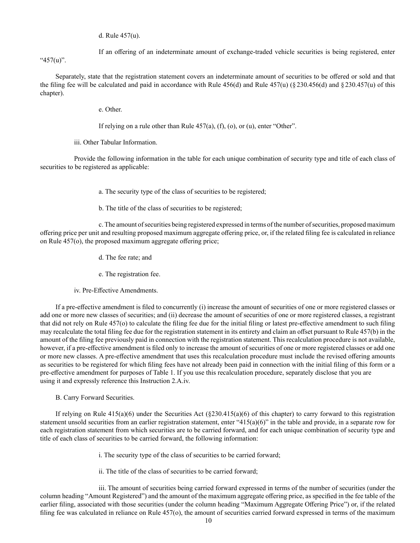d. Rule 457(u).

If an offering of an indeterminate amount of exchange-traded vehicle securities is being registered, enter "457(u)".

Separately, state that the registration statement covers an indeterminate amount of securities to be offered or sold and that the filing fee will be calculated and paid in accordance with Rule  $456(d)$  and Rule  $457(u)$  (§ 230.456(d) and § 230.457(u) of this chapter).

e. Other.

If relying on a rule other than Rule  $457(a)$ ,  $(f)$ ,  $(o)$ , or  $(u)$ , enter "Other".

iii. Other Tabular Information.

 Provide the following information in the table for each unique combination of security type and title of each class of securities to be registered as applicable:

a. The security type of the class of securities to be registered;

b. The title of the class of securities to be registered;

 c. The amount of securities being registered expressed in terms of the number of securities, proposed maximum offering price per unit and resulting proposed maximum aggregate offering price, or, if the related filing fee is calculated in reliance on Rule 457(o), the proposed maximum aggregate offering price;

d. The fee rate; and

e. The registration fee.

iv. Pre-Effective Amendments.

If a pre-effective amendment is filed to concurrently (i) increase the amount of securities of one or more registered classes or add one or more new classes of securities; and (ii) decrease the amount of securities of one or more registered classes, a registrant that did not rely on Rule 457(o) to calculate the filing fee due for the initial filing or latest pre-effective amendment to such filing may recalculate the total filing fee due for the registration statement in its entirety and claim an offset pursuant to Rule 457(b) in the amount of the filing fee previously paid in connection with the registration statement. This recalculation procedure is not available, however, if a pre-effective amendment is filed only to increase the amount of securities of one or more registered classes or add one or more new classes. A pre-effective amendment that uses this recalculation procedure must include the revised offering amounts as securities to be registered for which filing fees have not already been paid in connection with the initial filing of this form or a pre-effective amendment for purposes of Table 1. If you use this recalculation procedure, separately disclose that you are using it and expressly reference this Instruction 2.A.iv.

B. Carry Forward Securities.

If relying on Rule  $415(a)(6)$  under the Securities Act  $(\frac{230.415(a)(6)}{6})$  of this chapter) to carry forward to this registration statement unsold securities from an earlier registration statement, enter "415(a)(6)" in the table and provide, in a separate row for each registration statement from which securities are to be carried forward, and for each unique combination of security type and title of each class of securities to be carried forward, the following information:

i. The security type of the class of securities to be carried forward;

ii. The title of the class of securities to be carried forward;

 iii. The amount of securities being carried forward expressed in terms of the number of securities (under the column heading "Amount Registered") and the amount of the maximum aggregate offering price, as specified in the fee table of the earlier filing, associated with those securities (under the column heading "Maximum Aggregate Offering Price") or, if the related filing fee was calculated in reliance on Rule 457(o), the amount of securities carried forward expressed in terms of the maximum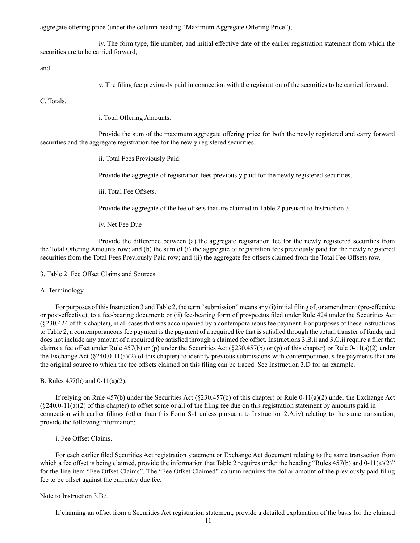aggregate offering price (under the column heading "Maximum Aggregate Offering Price");

iv. The form type, file number, and initial effective date of the earlier registration statement from which the securities are to be carried forward;

and

v. The filing fee previously paid in connection with the registration of the securities to be carried forward.

C. Totals.

i. Total Offering Amounts.

Provide the sum of the maximum aggregate offering price for both the newly registered and carry forward securities and the aggregate registration fee for the newly registered securities.

ii. Total Fees Previously Paid.

Provide the aggregate of registration fees previously paid for the newly registered securities.

iii. Total Fee Offsets.

Provide the aggregate of the fee offsets that are claimed in Table 2 pursuant to Instruction 3.

iv. Net Fee Due

Provide the difference between (a) the aggregate registration fee for the newly registered securities from the Total Offering Amounts row; and (b) the sum of (i) the aggregate of registration fees previously paid for the newly registered securities from the Total Fees Previously Paid row; and (ii) the aggregate fee offsets claimed from the Total Fee Offsets row.

3. Table 2: Fee Offset Claims and Sources.

#### A. Terminology.

For purposes of this Instruction 3 and Table 2, the term "submission" means any (i) initial filing of, or amendment (pre-effective or post-effective), to a fee-bearing document; or (ii) fee-bearing form of prospectus filed under Rule 424 under the Securities Act (§230.424 of this chapter), in all cases that was accompanied by a contemporaneous fee payment. For purposes of these instructions to Table 2, a contemporaneous fee payment is the payment of a required fee that is satisfied through the actual transfer of funds, and does not include any amount of a required fee satisfied through a claimed fee offset. Instructions 3.B.ii and 3.C.ii require a filer that claims a fee offset under Rule 457(b) or (p) under the Securities Act (§230.457(b) or (p) of this chapter) or Rule 0-11(a)(2) under the Exchange Act  $(\xi 240.0-11(a)(2)$  of this chapter) to identify previous submissions with contemporaneous fee payments that are the original source to which the fee offsets claimed on this filing can be traced. See Instruction 3.D for an example.

B. Rules 457(b) and 0-11(a)(2).

If relying on Rule 457(b) under the Securities Act ( $\S$ 230.457(b) of this chapter) or Rule 0-11(a)(2) under the Exchange Act  $(\xi$ 240.0-11(a)(2) of this chapter) to offset some or all of the filing fee due on this registration statement by amounts paid in connection with earlier filings (other than this Form S-1 unless pursuant to Instruction 2.A.iv) relating to the same transaction, provide the following information:

i. Fee Offset Claims.

For each earlier filed Securities Act registration statement or Exchange Act document relating to the same transaction from which a fee offset is being claimed, provide the information that Table 2 requires under the heading "Rules  $457(b)$  and  $0-11(a)(2)$ " for the line item "Fee Offset Claims". The "Fee Offset Claimed" column requires the dollar amount of the previously paid filing fee to be offset against the currently due fee.

### Note to Instruction 3.B.i.

If claiming an offset from a Securities Act registration statement, provide a detailed explanation of the basis for the claimed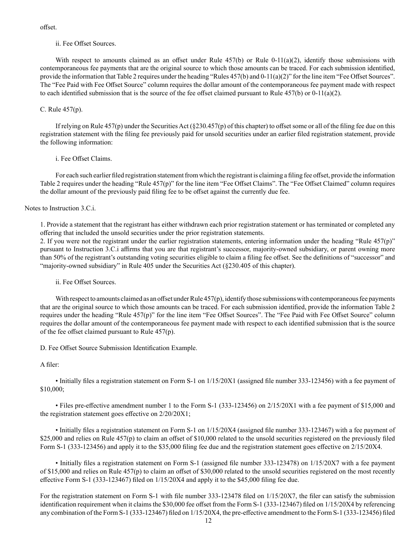offset.

### ii. Fee Offset Sources.

With respect to amounts claimed as an offset under Rule  $457(b)$  or Rule  $0-11(a)(2)$ , identify those submissions with contemporaneous fee payments that are the original source to which those amounts can be traced. For each submission identified, provide the information that Table 2 requires under the heading "Rules 457(b) and 0-11(a)(2)" for the line item "Fee Offset Sources". The "Fee Paid with Fee Offset Source" column requires the dollar amount of the contemporaneous fee payment made with respect to each identified submission that is the source of the fee offset claimed pursuant to Rule  $457(b)$  or  $0-11(a)(2)$ .

### C. Rule 457(p).

If relying on Rule 457(p) under the Securities Act ( $\S230.457(p)$  of this chapter) to offset some or all of the filing fee due on this registration statement with the filing fee previously paid for unsold securities under an earlier filed registration statement, provide the following information:

### i. Fee Offset Claims.

For each such earlier filed registration statement from which the registrant is claiming a filing fee offset, provide the information Table 2 requires under the heading "Rule 457(p)" for the line item "Fee Offset Claims". The "Fee Offset Claimed" column requires the dollar amount of the previously paid filing fee to be offset against the currently due fee.

Notes to Instruction 3.C.i.

1. Provide a statement that the registrant has either withdrawn each prior registration statement or has terminated or completed any offering that included the unsold securities under the prior registration statements.

2. If you were not the registrant under the earlier registration statements, entering information under the heading "Rule 457(p)" pursuant to Instruction 3.C.i affirms that you are that registrant's successor, majority-owned subsidiary, or parent owning more than 50% of the registrant's outstanding voting securities eligible to claim a filing fee offset. See the definitions of "successor" and "majority-owned subsidiary" in Rule 405 under the Securities Act (§230.405 of this chapter).

ii. Fee Offset Sources.

With respect to amounts claimed as an offset under Rule 457(p), identify those submissions with contemporaneous fee payments that are the original source to which those amounts can be traced. For each submission identified, provide the information Table 2 requires under the heading "Rule 457(p)" for the line item "Fee Offset Sources". The "Fee Paid with Fee Offset Source" column requires the dollar amount of the contemporaneous fee payment made with respect to each identified submission that is the source of the fee offset claimed pursuant to Rule 457(p).

D. Fee Offset Source Submission Identification Example.

### A filer:

• Initially files a registration statement on Form S-1 on 1/15/20X1 (assigned file number 333-123456) with a fee payment of \$10,000;

• Files pre-effective amendment number 1 to the Form S-1 (333-123456) on 2/15/20X1 with a fee payment of \$15,000 and the registration statement goes effective on 2/20/20X1;

• Initially files a registration statement on Form S-1 on 1/15/20X4 (assigned file number 333-123467) with a fee payment of \$25,000 and relies on Rule  $457(p)$  to claim an offset of \$10,000 related to the unsold securities registered on the previously filed Form S-1 (333-123456) and apply it to the \$35,000 filing fee due and the registration statement goes effective on 2/15/20X4.

• Initially files a registration statement on Form S-1 (assigned file number 333-123478) on 1/15/20X7 with a fee payment of \$15,000 and relies on Rule 457(p) to claim an offset of \$30,000 related to the unsold securities registered on the most recently effective Form S-1 (333-123467) filed on 1/15/20X4 and apply it to the \$45,000 filing fee due.

For the registration statement on Form S-1 with file number 333-123478 filed on 1/15/20X7, the filer can satisfy the submission identification requirement when it claims the \$30,000 fee offset from the Form S-1 (333-123467) filed on 1/15/20X4 by referencing any combination of the Form S-1 (333-123467) filed on 1/15/20X4, the pre-effective amendment to the Form S-1 (333-123456) filed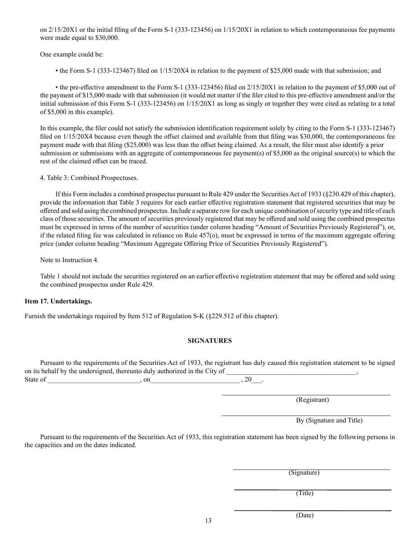on 2/15/20X1 or the initial filing of the Form S-1 (333-123456) on 1/15/20X1 in relation to which contemporaneous fee payments were made equal to \$30,000.

One example could be:

• the Form S-1 (333-123467) filed on 1/15/20X4 in relation to the payment of \$25,000 made with that submission; and

• the pre-effective amendment to the Form S-1 (333-123456) filed on 2/15/20X1 in relation to the payment of \$5,000 out of the payment of \$15,000 made with that submission (it would not matter if the filer cited to this pre-effective amendment and/or the initial submission of this Form S-1 (333-123456) on 1/15/20X1 as long as singly or together they were cited as relating to a total of \$5,000 in this example).

In this example, the filer could not satisfy the submission identification requirement solely by citing to the Form S-1 (333-123467) filed on  $1/15/20X4$  because even though the offset claimed and available from that filing was \$30,000, the contemporaneous fee payment made with that filing (\$25,000) was less than the offset being claimed. As a result, the filer must also identify a prior submission or submissions with an aggregate of contemporaneous fee payment(s) of \$5,000 as the original source(s) to which the rest of the claimed offset can be traced.

4. Table 3: Combined Prospectuses.

If this Form includes a combined prospectus pursuant to Rule 429 under the Securities Act of 1933 (§230.429 of this chapter), provide the information that Table 3 requires for each earlier effective registration statement that registered securities that may be offered and sold using the combined prospectus. Include a separate row for each unique combination of security type and title of each class of those securities. The amount of securities previously registered that may be offered and sold using the combined prospectus must be expressed in terms of the number of securities (under column heading "Amount of Securities Previously Registered"), or, if the related filing fee was calculated in reliance on Rule 457(o), must be expressed in terms of the maximum aggregate offering price (under column heading "Maximum Aggregate Offering Price of Securities Previously Registered").

Note to Instruction 4.

Table 1 should not include the securities registered on an earlier effective registration statement that may be offered and sold using the combined prospectus under Rule 429.

# **Item 17. Undertakings.**

Furnish the undertakings required by Item 512 of Regulation S-K (§229.512 of this chapter).

# **SIGNATURES**

Pursuant to the requirements of the Securities Act of 1933, the registrant has duly caused this registration statement to be signed on its behalf by the undersigned, thereunto duly authorized in the City of State of \_\_\_\_\_\_\_\_\_\_\_\_\_\_\_\_\_\_\_\_\_\_\_\_\_\_\_, on\_\_\_\_\_\_\_\_\_\_\_\_\_\_\_\_\_\_\_\_\_\_\_\_\_\_ , 20\_\_\_.

(Registrant)

By (Signature and Title)

Pursuant to the requirements of the Securities Act of 1933, this registration statement has been signed by the following persons in the capacities and on the dates indicated.

(Signature)

(Title)

(Date)